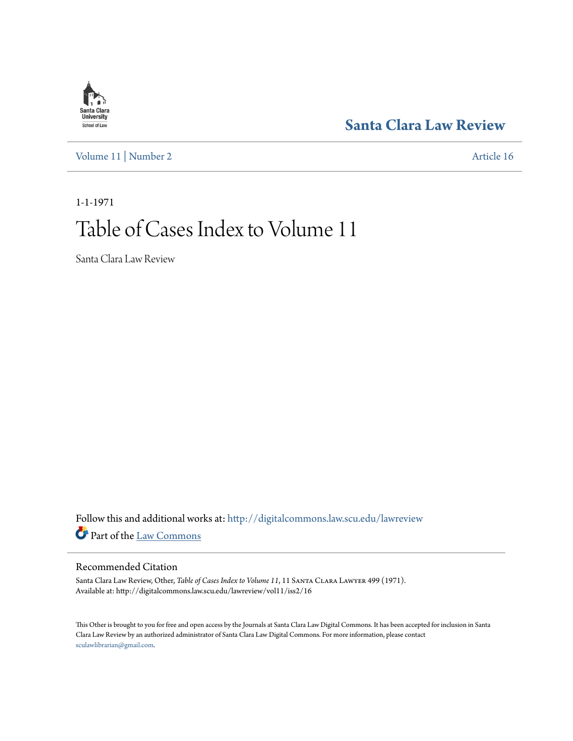## **[Santa Clara Law Review](http://digitalcommons.law.scu.edu/lawreview?utm_source=digitalcommons.law.scu.edu%2Flawreview%2Fvol11%2Fiss2%2F16&utm_medium=PDF&utm_campaign=PDFCoverPages)**

[Volume 11](http://digitalcommons.law.scu.edu/lawreview/vol11?utm_source=digitalcommons.law.scu.edu%2Flawreview%2Fvol11%2Fiss2%2F16&utm_medium=PDF&utm_campaign=PDFCoverPages) | [Number 2](http://digitalcommons.law.scu.edu/lawreview/vol11/iss2?utm_source=digitalcommons.law.scu.edu%2Flawreview%2Fvol11%2Fiss2%2F16&utm_medium=PDF&utm_campaign=PDFCoverPages) [Article 16](http://digitalcommons.law.scu.edu/lawreview/vol11/iss2/16?utm_source=digitalcommons.law.scu.edu%2Flawreview%2Fvol11%2Fiss2%2F16&utm_medium=PDF&utm_campaign=PDFCoverPages)

# 1-1-1971 Table of Cases Index to Volume 11

Santa Clara Law Review

Follow this and additional works at: [http://digitalcommons.law.scu.edu/lawreview](http://digitalcommons.law.scu.edu/lawreview?utm_source=digitalcommons.law.scu.edu%2Flawreview%2Fvol11%2Fiss2%2F16&utm_medium=PDF&utm_campaign=PDFCoverPages) Part of the [Law Commons](http://network.bepress.com/hgg/discipline/578?utm_source=digitalcommons.law.scu.edu%2Flawreview%2Fvol11%2Fiss2%2F16&utm_medium=PDF&utm_campaign=PDFCoverPages)

### Recommended Citation

Santa Clara Law Review, Other, *Table of Cases Index to Volume 11*, 11 SANTA CLARA LAWYER 499 (1971). Available at: http://digitalcommons.law.scu.edu/lawreview/vol11/iss2/16

This Other is brought to you for free and open access by the Journals at Santa Clara Law Digital Commons. It has been accepted for inclusion in Santa Clara Law Review by an authorized administrator of Santa Clara Law Digital Commons. For more information, please contact [sculawlibrarian@gmail.com](mailto:sculawlibrarian@gmail.com).

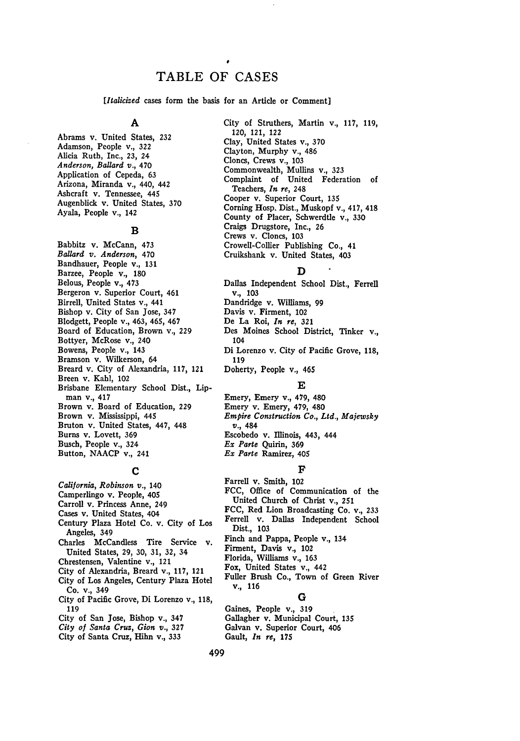## TABLE OF **CASES**

*[Italicized* cases form the basis for an Article or Comment]

#### **A**

Abrams v. United States, **232** Adamson, People v., **322** Alicia Ruth, Inc., 23, 24 *Anderson, Ballard v.,* 470 Application of Cepeda, 63 Arizona, Miranda v., 440, 442 Ashcraft v. Tennessee, 445 Augenblick v. United States, 370 Ayala, People v., 142

#### **B**

Babbitz v. McCann, 473 *Ballard v. Anderson,* 470 Bandhauer, People v., 131 Barzee, People v., 180 Belous, People v., 473 Bergeron v. Superior Court, 461 Birrell, United States v., 441 Bishop v. City of San Jose, 347 Blodgett, People v., 463, 465, 467 Board of Education, Brown v., 229 Bottyer, McRose v., 240 Bowens, People v., 143 Bramson v. Wilkerson, 64 Breard v. City of Alexandria, 117, 121 Breen v. Kahl, 102 Brisbane Elementary School Dist., Lipman v., 417 Brown v. Board of Education, 229 Brown v. Mississippi, 445 Bruton v. United States, 447, 448 Burns v. Lovett, 369 Busch, People v., 324 Button, NAACP v., 241

#### **C**

*California, Robinson v.,* 140 Camperlingo v. People, 405 Carroll v. Princess Anne, 249 Cases v. United States, 404 Century Plaza Hotel Co. v. City of Los Angeles, 349 Charles McCandless Tire Service v. United States, 29, 30, 31, 32, 34 Chrestensen, Valentine v., 121 City of Alexandria, Breard v., 117, 121 City of Los Angeles, Century Plaza Hotel Co. v., 349 City of Pacific Grove, Di Lorenzo v., 118, 119

- City of San Jose, Bishop v., 347
- *City of Santa Cruz, Gion v.,* **327**
- City of Santa Cruz, Hihn v., 333

City of Struthers, Martin v., 117, 119, 120, 121, 122 Clay, United States v., 370 Clayton, Murphy v., 486 Clones, Crews v., 103 Commonwealth, Mullins v., **323** Complaint of United Federation of Teachers, *In re,* 248 Cooper v. Superior Court, 135 Corning Hosp. Dist., Muskopf v., 417, 418 County of Placer, Schwerdtle v., 330 Craigs Drugstore, Inc., 26 Crews v. Cloncs, 103 Crowell-Collier Publishing Co., 41 Cruikshank v. United States, 403

#### **D**

Dallas Independent School Dist., Ferrell v., 103 Dandridge v. Williams, 99 Davis v. Firment, 102 De La Roi, *In re,* **321** Des Moines School District, Tinker v., 104 Di Lorenzo v. City of Pacific Grove, **118,** 119 Doherty, People v., 465

#### **E**

Emery, Emery **v.,** 479, 480 Emery v. Emery, 479, 480 *Empire Construction Co., Ltd., Majewsky* v., 484 Escobedo v. Illinois, 443, 444 *Ex Parte* Quirin, 369 *Ex Parte* Ramirez, 405

#### **F**

Farrell v. Smith, 102 **FCC,** Office of Communication of the United Church of Christ v., 251 **FCC,** Red Lion Broadcasting Co. v., **233** Ferrell v. Dallas Independent School Dist., 103 Finch and Pappa, People v., 134 Firment, Davis v., 102 Florida, Williams v., 163 Fox, United States v., 442 Fuller Brush Co., Town of Green River **v.,** 116

#### **G**

Gaines, People v., 319 Gallagher v. Municipal Court, 135 Galvan v. Superior Court, 406 Gault, *In re,* **175**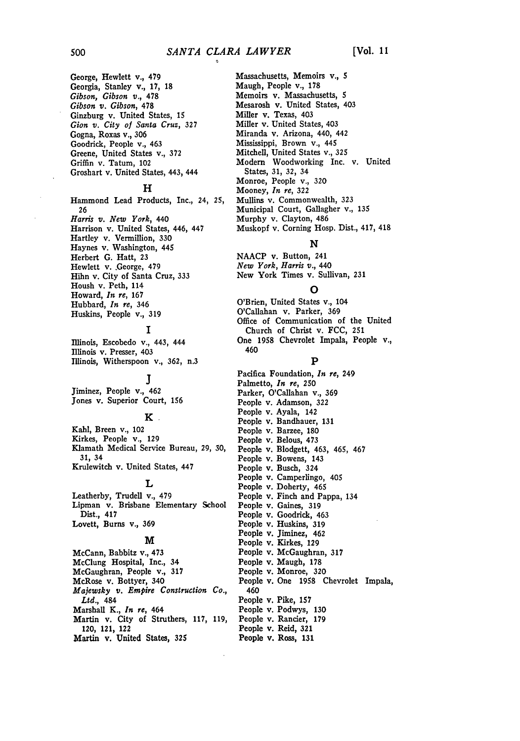George, Hewlett v., 479 Georgia, Stanley v., **17,** 18 *Gibson, Gibson v.,* **478** *Gibson v. Gibson,* 478 Ginzburg v. United States, 15 *Gion v. City of Santa Cruz,* **327** Gogna, Roxas v., **306** Goodrick, People v., 463 Greene, United States v., **372** Griffin v. Tatum, 102 Groshart v. United States, 443, 444

#### **H**

Hammond Lead Products, Inc., 24, **25, 26** *Harris v. New York,* 440 Harrison v. United States, 446, 447 Hartley v. Vermillion, 330 Haynes v. Washington, 445 Herbert G. Hatt, **23** Hewlett v. .George, 479 Hihn v. City of Santa Cruz, 333 Housh v. Peth, 114 Howard, *In re,* 167 Hubbard, *In re,* 346 Huskins, People v., 319

#### **I**

Illinois, Escobedo v., 443, 444 Illinois v. Presser, 403 Illinois, Witherspoon v., **362,** n.3

## **J**

Jiminez, People v., 462 Jones v. Superior Court, 156

#### **K**

Kahl, Breen v., 102 Kirkes, People v., 129 Klamath Medical Service Bureau, 29, **30, 31,** 34 Krulewitch v. United States, 447

#### **L**

Leatherby, Trudell v., 479 Lipman v. Brisbane Elementary School Dist., 417 Lovett, Burns v., 369

#### **M**

McCann, Babbitz v., 473 McClung Hospital, Inc., 34 McGaughran, People v., **317** McRose v. Bottyer, 340 *Majewsky v. Empire Construction Co., Ltd.,* 484 Marshall K., *In re,* 464 Martin v. City of Struthers, 117, 119, 120, 121, 122 Martin v. United States, **325**

Massachusetts, Memoirs v., **5** Maugh, People **v.,** 178 Memoirs v. Massachusetts, 5 Mesarosh v. United States, 403 Miller v. Texas, 403 Miller v. United States, 403 Miranda v. Arizona, 440, 442 Mississippi, Brown v., 445 Mitchell, United States v., **325** Modem Woodworking Inc. v. United States, **31, 32,** 34 Monroe, People v., **320** Mooney, *In re,* **322** Mullins v. Commonwealth, **323** Municipal Court, Gallagher v., **135** Murphy v. Clayton, 486 Muskopf v. Corning Hosp. Dist., 417, 418

#### **N**

**NAACP** v. Button, 241 *New York, Harris v.,* 440 New York Times v. Sullivan, **231**

#### **0**

O'Brien, United States v., 104 O'Callahan v. Parker, **369** Office of Communication of the United Church of Christ v. FCC, **251** One **1958** Chevrolet Impala, People v., 460

#### **P**

Pacifica Foundation, *In re,* 249 Palmetto, *In re,* 250 Parker, O'Callahan v., **369** People v. Adamson, **322** People v. Ayala, 142 People v. Bandhauer, **131** People v. Barzee, 180 People v. Belous, 473 People v. Blodgett, 463, 465, 467 People v. Bowens, 143 People v. Busch, 324 People v. Camperlingo, 405 People v. Doherty, 465 People v. Finch and Pappa, 134 People v. Gaines, **319** People v. Goodrick, 463 People v. Huskins, **319** People v. Jiminez, 462 People v. Kirkes, **129** People v. McGaughran, **317** People v. Maugh, 178 People v. Monroe, **320** People v. One 1958 Chevrolet Impala, 460 People v. Pike, **157** People v. Podwys, 130 People v. Rancier, 179 People v. Reid, **321** People v. Ross, **131**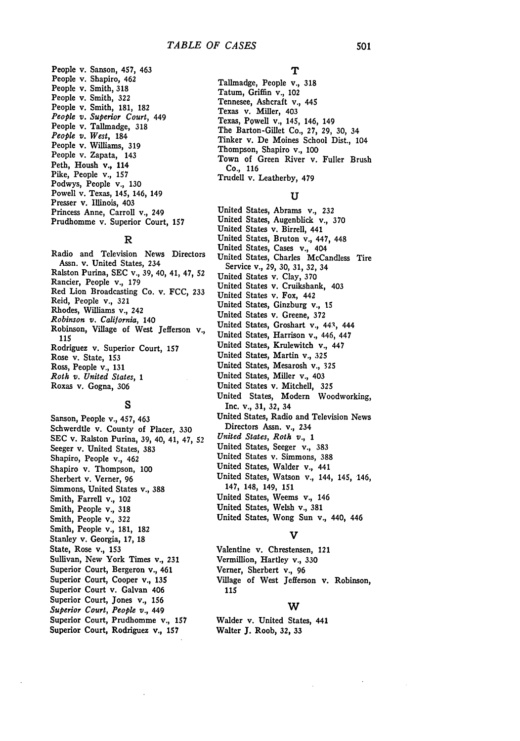People v. Sanson, 457, 463 People v. Shapiro, 462 People v. Smith, **318** People v. Smith, **322** People v. Smith, **181, 182** *People v. Superior Court,* 449 People v. Tallmadge, 318 *People v. West,* 184 People v. Williams, **319** People v. Zapata, 143 Peth, Housh v., 114 Pike, People v., **157** Podwys, People v., **130** Powell v. Texas, 145, 146, 149 Presser v. Illinois, 403 Princess Anne, Carroll v., 249 Prudhomme v. Superior Court, **157**

#### **R**

Radio and Television News Directors Assn. v. United States, 234 Ralston Purina, **SEC** v., **39,** 40, 41, 47, **52** Rancier, People v., **179** Red Lion Broadcasting Co. v. **FCC, 233** Reid, People v., **321** Rhodes, Williams v., 242 *Robinson v. California,* 140 Robinson, Village of West Jefferson v., *115* Rodriguez v. Superior Court, **157** Rose v. State, **153** Ross, People v., 131 *Roth v. United States, 1* Roxas v. Gogna, **306**

#### **S**

Sanson, People v., 457, 463 Schwerdtle v. County of Placer, **330 SEC** v. Ralston Purina, **39,** 40, 41, 47, **52** Seeger v. United States, **383** Shapiro, People v., 462 Shapiro v. Thompson, **100** Sherbert v. Verner, 96 Simmons, United States v., **388** Smith, Farrell v., 102 Smith, People v., **318** Smith, People v., **322** Smith, People v., **181, 182** Stanley v. Georgia, **17, 18** State, Rose v., **153** Sullivan, New York Times v., **231** Superior Court, Bergeron v., 461 Superior Court, Cooper v., **135** Superior Court v. Galvan 406 Superior Court, Jones v., **156** *Superior Court, People v.,* 449 Superior Court, Prudhomme v., **157** Superior Court, Rodriguez v., **157**

#### **T**

Tallmadge, People v., **318** Tatum, Griffin v., 102 Tennesee, Ashcraft v., 445 Texas v. Miller, 403 Texas, Powell v., 145, 146, 149 The Barton-Gillet Co., **27, 29, 30,** 34 Tinker v. De Moines School Dist., 104 Thompson, Shapiro v., **100** Town of Green River v. Fuller Brush Co., **116** Trudell v. Leatherby, 479

#### **U**

United States, Abrams v., **232** United States, Augenblick v., **370** United States v. Birrell, 441 United States, Bruton v., 447, 448 United States, Cases **v.,** 404 United States, Charles McCandless Tire Service v., **29, 30, 31, 32,** 34 United States v. Clay, **370** United States v. Cruikshank, 403 United States v. Fox, 442 United States, Ginzburg v., **15** United States v. Greene, **372** United States, Groshart *v.,* 443, 444 United States, Harrison v., 446, 447 United States, Krulewitch v., 447 United States, Martin v., **325** United States, Mesarosh v., **325** United States, Miller v., 403 United States v. Mitchell, **325** United States, Modem Woodworking, Inc. v., **31, 32,** 34 United States, Radio and Television News Directors Assn. v., 234 *United States, Roth v., 1* United States, Seeger v., **383** United States v. Simmons, 388 United States, Walder v., 441 United States, Watson v., 144, 145, 146, 147, 148, 149, **151** United States, Weems v., 146 United States, Welsh v., **381** United States, Wong Sun v., 440, 446

#### **V**

Valentine v. Chrestensen, 121 Vermillion, Hartley v., **330** Verner, Sherbert v., **96** Village of West Jefferson v. Robinson, **115**

#### **W**

Walder v. United States, 441 Walter **J.** Roob, **32, 33**